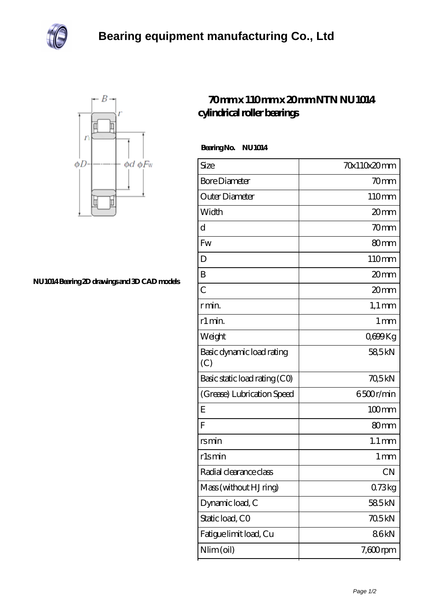



## **[NU1014 Bearing 2D drawings and 3D CAD models](https://davidsherjan.com/pic-10231.html)**

## **[70 mm x 110 mm x 20 mm NTN NU1014](https://davidsherjan.com/af-10231-ntn-nu1014-cylindrical-roller-bearings.html) [cylindrical roller bearings](https://davidsherjan.com/af-10231-ntn-nu1014-cylindrical-roller-bearings.html)**

 **Bearing No. NU1014**

| Size                             | 70x110x20mm         |
|----------------------------------|---------------------|
| <b>Bore Diameter</b>             | 70mm                |
| Outer Diameter                   | 110mm               |
| Width                            | 20mm                |
| d                                | 70 <sub>mm</sub>    |
| Fw                               | 80mm                |
| D                                | 110mm               |
| B                                | 20 <sub>mm</sub>    |
| $\overline{C}$                   | 20 <sub>mm</sub>    |
| r min.                           | $1,1 \text{ mm}$    |
| r1 min.                          | 1 <sub>mm</sub>     |
| Weight                           | Q699Kg              |
| Basic dynamic load rating<br>(C) | 58,5kN              |
| Basic static load rating (CO)    | 70,5kN              |
| (Grease) Lubrication Speed       | 6500r/min           |
| E                                | $100$ mm            |
| F                                | 80mm                |
| rsmin                            | $1.1 \,\mathrm{mm}$ |
| rlsmin                           | 1 <sub>mm</sub>     |
| Radial clearance class           | <b>CN</b>           |
| Mass (without HJ ring)           | 073kg               |
| Dynamic load, C                  | 585kN               |
| Static load, CO                  | 705kN               |
| Fatigue limit load, Cu           | 86kN                |
| Nlim (oil)                       | $7,600$ rpm         |